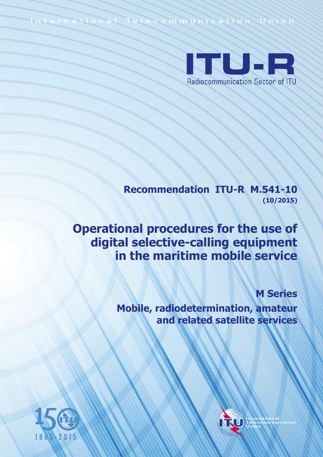International Telecommunication Union



**Recommendation ITU-R M.541-10 (10/2015)**

**Operational procedures for the use of digital selective-calling equipment in the maritime mobile service**

**M Series**

**Mobile, radiodetermination, amateur and related satellite services**



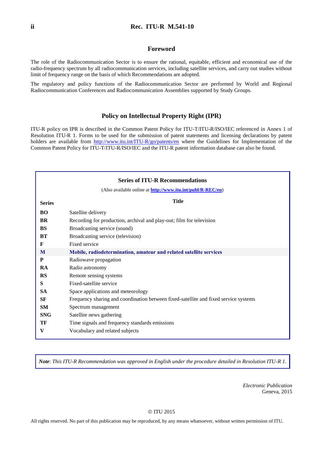#### **Foreword**

The role of the Radiocommunication Sector is to ensure the rational, equitable, efficient and economical use of the radio-frequency spectrum by all radiocommunication services, including satellite services, and carry out studies without limit of frequency range on the basis of which Recommendations are adopted.

The regulatory and policy functions of the Radiocommunication Sector are performed by World and Regional Radiocommunication Conferences and Radiocommunication Assemblies supported by Study Groups.

#### **Policy on Intellectual Property Right (IPR)**

ITU-R policy on IPR is described in the Common Patent Policy for ITU-T/ITU-R/ISO/IEC referenced in Annex 1 of Resolution ITU-R 1. Forms to be used for the submission of patent statements and licensing declarations by patent holders are available from <http://www.itu.int/ITU-R/go/patents/en> where the Guidelines for Implementation of the Common Patent Policy for ITU-T/ITU-R/ISO/IEC and the ITU-R patent information database can also be found.

|               | <b>Series of ITU-R Recommendations</b>                                               |
|---------------|--------------------------------------------------------------------------------------|
|               | (Also available online at http://www.itu.int/publ/R-REC/en)                          |
| <b>Series</b> | <b>Title</b>                                                                         |
| <b>BO</b>     | Satellite delivery                                                                   |
| BR            | Recording for production, archival and play-out; film for television                 |
| <b>BS</b>     | Broadcasting service (sound)                                                         |
| BT            | Broadcasting service (television)                                                    |
| F             | Fixed service                                                                        |
| M             | Mobile, radiodetermination, amateur and related satellite services                   |
| P             | Radiowave propagation                                                                |
| RA            | Radio astronomy                                                                      |
| RS            | Remote sensing systems                                                               |
| S             | Fixed-satellite service                                                              |
| <b>SA</b>     | Space applications and meteorology                                                   |
| SF            | Frequency sharing and coordination between fixed-satellite and fixed service systems |
| SM            | Spectrum management                                                                  |
| <b>SNG</b>    | Satellite news gathering                                                             |
| TF            | Time signals and frequency standards emissions                                       |
| V             | Vocabulary and related subjects                                                      |

*Note*: *This ITU-R Recommendation was approved in English under the procedure detailed in Resolution ITU-R 1.*

*Electronic Publication* Geneva, 2015

#### © ITU 2015

All rights reserved. No part of this publication may be reproduced, by any means whatsoever, without written permission of ITU.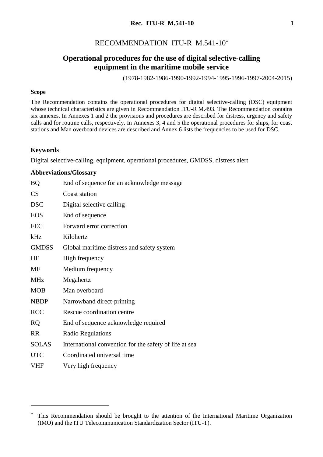#### **Rec. ITU-R M.541-10 1**

#### RECOMMENDATION ITU-R M.541-10\*

# **Operational procedures for the use of digital selective-calling equipment in the maritime mobile service**

(1978-1982-1986-1990-1992-1994-1995-1996-1997-2004-2015)

#### **Scope**

The Recommendation contains the operational procedures for digital selective-calling (DSC) equipment whose technical characteristics are given in Recommendation ITU-R M.493. The Recommendation contains six annexes. In Annexes 1 and 2 the provisions and procedures are described for distress, urgency and safety calls and for routine calls, respectively. In Annexes 3, 4 and 5 the operational procedures for ships, for coast stations and Man overboard devices are described and Annex 6 lists the frequencies to be used for DSC.

#### **Keywords**

1

Digital selective-calling, equipment, operational procedures, GMDSS, distress alert

#### **Abbreviations/Glossary**

| <b>BQ</b>    | End of sequence for an acknowledge message             |
|--------------|--------------------------------------------------------|
| CS           | <b>Coast station</b>                                   |
| <b>DSC</b>   | Digital selective calling                              |
| <b>EOS</b>   | End of sequence                                        |
| <b>FEC</b>   | Forward error correction                               |
| kHz          | Kilohertz                                              |
| <b>GMDSS</b> | Global maritime distress and safety system             |
| HF           | High frequency                                         |
| MF           | Medium frequency                                       |
|              |                                                        |
| <b>MHz</b>   | Megahertz                                              |
| <b>MOB</b>   | Man overboard                                          |
| <b>NBDP</b>  | Narrowband direct-printing                             |
| <b>RCC</b>   | Rescue coordination centre                             |
| <b>RQ</b>    | End of sequence acknowledge required                   |
| <b>RR</b>    | <b>Radio Regulations</b>                               |
| <b>SOLAS</b> | International convention for the safety of life at sea |
| <b>UTC</b>   | Coordinated universal time                             |

This Recommendation should be brought to the attention of the International Maritime Organization (IMO) and the ITU Telecommunication Standardization Sector (ITU-T).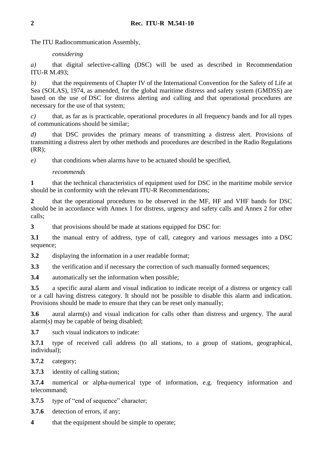The ITU Radiocommunication Assembly,

*considering*

*a)* that digital selective-calling (DSC) will be used as described in Recommendation ITU-R M.493;

*b)* that the requirements of Chapter IV of the International Convention for the Safety of Life at Sea (SOLAS), 1974, as amended, for the global maritime distress and safety system (GMDSS) are based on the use of DSC for distress alerting and calling and that operational procedures are necessary for the use of that system;

*c)* that, as far as is practicable, operational procedures in all frequency bands and for all types of communications should be similar;

*d)* that DSC provides the primary means of transmitting a distress alert. Provisions of transmitting a distress alert by other methods and procedures are described in the Radio Regulations (RR);

*e)* that conditions when alarms have to be actuated should be specified,

## *recommends*

1 that the technical characteristics of equipment used for DSC in the maritime mobile service should be in conformity with the relevant ITU-R Recommendations;

**2** that the operational procedures to be observed in the MF, HF and VHF bands for DSC should be in accordance with Annex 1 for distress, urgency and safety calls and Annex 2 for other calls;

**3** that provisions should be made at stations equipped for DSC for:

**3.1** the manual entry of address, type of call, category and various messages into a DSC sequence;

**3.2** displaying the information in a user readable format;

**3.3** the verification and if necessary the correction of such manually formed sequences;

**3.4** automatically set the information when possible;

**3.5** a specific aural alarm and visual indication to indicate receipt of a distress or urgency call or a call having distress category. It should not be possible to disable this alarm and indication. Provisions should be made to ensure that they can be reset only manually;

**3.6** aural alarm(s) and visual indication for calls other than distress and urgency. The aural alarm(s) may be capable of being disabled;

**3.7** such visual indicators to indicate:

**3.7.1** type of received call address (to all stations, to a group of stations, geographical, individual);

**3.7.2** category;

**3.7.3** identity of calling station;

**3.7.4** numerical or alpha-numerical type of information, e.g. frequency information and telecommand;

**3.7.5** type of "end of sequence" character;

**3.7.6** detection of errors, if any;

**4** that the equipment should be simple to operate;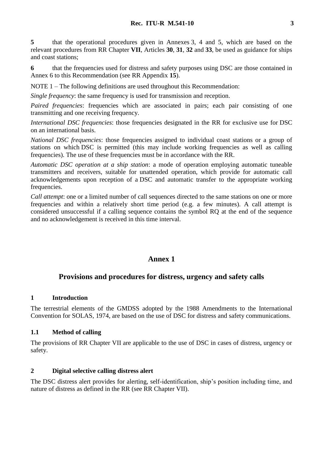**5** that the operational procedures given in Annexes 3, 4 and 5, which are based on the relevant procedures from RR Chapter **VII**, Articles **30**, **31**, **32** and **33**, be used as guidance for ships and coast stations;

**6** that the frequencies used for distress and safety purposes using DSC are those contained in Annex 6 to this Recommendation (see RR Appendix **15**).

NOTE 1 – The following definitions are used throughout this Recommendation:

*Single frequency*: the same frequency is used for transmission and reception.

*Paired frequencies*: frequencies which are associated in pairs; each pair consisting of one transmitting and one receiving frequency.

*International DSC frequencies*: those frequencies designated in the RR for exclusive use for DSC on an international basis.

*National DSC frequencies*: those frequencies assigned to individual coast stations or a group of stations on which DSC is permitted (this may include working frequencies as well as calling frequencies). The use of these frequencies must be in accordance with the RR.

*Automatic DSC operation at a ship station*: a mode of operation employing automatic tuneable transmitters and receivers, suitable for unattended operation, which provide for automatic call acknowledgements upon reception of a DSC and automatic transfer to the appropriate working frequencies.

*Call attempt*: one or a limited number of call sequences directed to the same stations on one or more frequencies and within a relatively short time period (e.g. a few minutes). A call attempt is considered unsuccessful if a calling sequence contains the symbol RQ at the end of the sequence and no acknowledgement is received in this time interval.

# **Annex 1**

# **Provisions and procedures for distress, urgency and safety calls**

#### **1 Introduction**

The terrestrial elements of the GMDSS adopted by the 1988 Amendments to the International Convention for SOLAS, 1974, are based on the use of DSC for distress and safety communications.

#### **1.1 Method of calling**

The provisions of RR Chapter VII are applicable to the use of DSC in cases of distress, urgency or safety.

#### **2 Digital selective calling distress alert**

The DSC distress alert provides for alerting, self-identification, ship's position including time, and nature of distress as defined in the RR (see RR Chapter VII).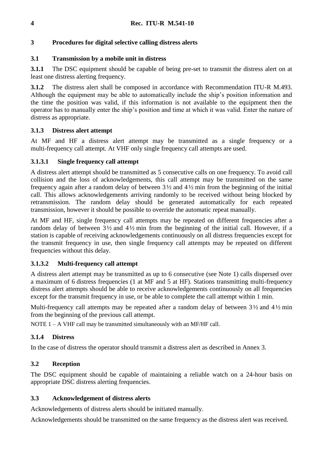## **3 Procedures for digital selective calling distress alerts**

## **3.1 Transmission by a mobile unit in distress**

**3.1.1** The DSC equipment should be capable of being pre-set to transmit the distress alert on at least one distress alerting frequency.

**3.1.2** The distress alert shall be composed in accordance with Recommendation ITU-R M.493. Although the equipment may be able to automatically include the ship's position information and the time the position was valid, if this information is not available to the equipment then the operator has to manually enter the ship's position and time at which it was valid. Enter the nature of distress as appropriate.

## **3.1.3 Distress alert attempt**

At MF and HF a distress alert attempt may be transmitted as a single frequency or a multi-frequency call attempt. At VHF only single frequency call attempts are used.

## **3.1.3.1 Single frequency call attempt**

A distress alert attempt should be transmitted as 5 consecutive calls on one frequency. To avoid call collision and the loss of acknowledgements, this call attempt may be transmitted on the same frequency again after a random delay of between 3 ½ and 4½ min from the beginning of the initial call. This allows acknowledgements arriving randomly to be received without being blocked by retransmission. The random delay should be generated automatically for each repeated transmission, however it should be possible to override the automatic repeat manually.

At MF and HF, single frequency call attempts may be repeated on different frequencies after a random delay of between 3½ and 4½ min from the beginning of the initial call. However, if a station is capable of receiving acknowledgements continuously on all distress frequencies except for the transmit frequency in use, then single frequency call attempts may be repeated on different frequencies without this delay.

# **3.1.3.2 Multi-frequency call attempt**

A distress alert attempt may be transmitted as up to 6 consecutive (see Note 1) calls dispersed over a maximum of 6 distress frequencies (1 at MF and 5 at HF). Stations transmitting multi-frequency distress alert attempts should be able to receive acknowledgements continuously on all frequencies except for the transmit frequency in use, or be able to complete the call attempt within 1 min.

Multi-frequency call attempts may be repeated after a random delay of between  $3\frac{1}{2}$  and  $4\frac{1}{2}$  min from the beginning of the previous call attempt.

NOTE 1 – A VHF call may be transmitted simultaneously with an MF/HF call.

# **3.1.4 Distress**

In the case of distress the operator should transmit a distress alert as described in Annex 3.

# **3.2 Reception**

The DSC equipment should be capable of maintaining a reliable watch on a 24-hour basis on appropriate DSC distress alerting frequencies.

# **3.3 Acknowledgement of distress alerts**

Acknowledgements of distress alerts should be initiated manually.

Acknowledgements should be transmitted on the same frequency as the distress alert was received.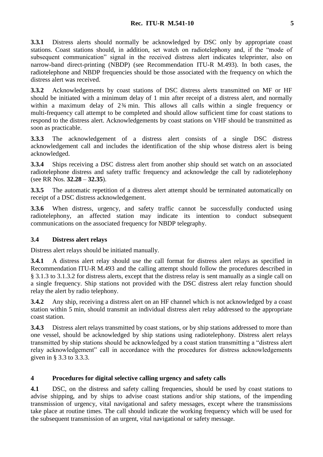**3.3.1** Distress alerts should normally be acknowledged by DSC only by appropriate coast stations. Coast stations should, in addition, set watch on radiotelephony and, if the "mode of subsequent communication" signal in the received distress alert indicates teleprinter, also on narrow-band direct-printing (NBDP) (see Recommendation ITU-R M.493). In both cases, the radiotelephone and NBDP frequencies should be those associated with the frequency on which the distress alert was received.

**3.3.2** Acknowledgements by coast stations of DSC distress alerts transmitted on MF or HF should be initiated with a minimum delay of 1 min after receipt of a distress alert, and normally within a maximum delay of  $2\frac{3}{4}$  min. This allows all calls within a single frequency or multi-frequency call attempt to be completed and should allow sufficient time for coast stations to respond to the distress alert. Acknowledgements by coast stations on VHF should be transmitted as soon as practicable.

**3.3.3** The acknowledgement of a distress alert consists of a single DSC distress acknowledgement call and includes the identification of the ship whose distress alert is being acknowledged.

**3.3.4** Ships receiving a DSC distress alert from another ship should set watch on an associated radiotelephone distress and safety traffic frequency and acknowledge the call by radiotelephony (see RR Nos. **32.28** – **32.35**).

**3.3.5** The automatic repetition of a distress alert attempt should be terminated automatically on receipt of a DSC distress acknowledgement.

**3.3.6** When distress, urgency, and safety traffic cannot be successfully conducted using radiotelephony, an affected station may indicate its intention to conduct subsequent communications on the associated frequency for NBDP telegraphy.

## **3.4 Distress alert relays**

Distress alert relays should be initiated manually.

**3.4.1** A distress alert relay should use the call format for distress alert relays as specified in Recommendation ITU-R M.493 and the calling attempt should follow the procedures described in § 3.1.3 to 3.1.3.2 for distress alerts, except that the distress relay is sent manually as a single call on a single frequency. Ship stations not provided with the DSC distress alert relay function should relay the alert by radio telephony.

**3.4.2** Any ship, receiving a distress alert on an HF channel which is not acknowledged by a coast station within 5 min, should transmit an individual distress alert relay addressed to the appropriate coast station.

**3.4.3** Distress alert relays transmitted by coast stations, or by ship stations addressed to more than one vessel, should be acknowledged by ship stations using radiotelephony. Distress alert relays transmitted by ship stations should be acknowledged by a coast station transmitting a "distress alert relay acknowledgement" call in accordance with the procedures for distress acknowledgements given in § 3.3 to 3.3.3.

# **4 Procedures for digital selective calling urgency and safety calls**

**4.1** DSC, on the distress and safety calling frequencies, should be used by coast stations to advise shipping, and by ships to advise coast stations and/or ship stations, of the impending transmission of urgency, vital navigational and safety messages, except where the transmissions take place at routine times. The call should indicate the working frequency which will be used for the subsequent transmission of an urgent, vital navigational or safety message.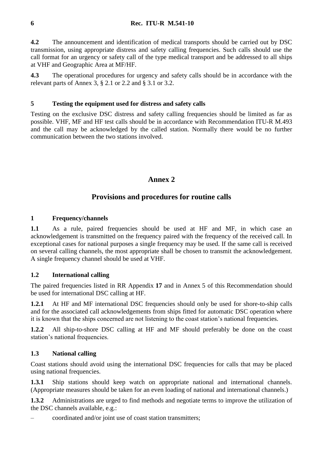#### **6 Rec. ITU-R M.541-10**

**4.2** The announcement and identification of medical transports should be carried out by DSC transmission, using appropriate distress and safety calling frequencies. Such calls should use the call format for an urgency or safety call of the type medical transport and be addressed to all ships at VHF and Geographic Area at MF/HF.

**4.3** The operational procedures for urgency and safety calls should be in accordance with the relevant parts of Annex 3, § 2.1 or 2.2 and § 3.1 or 3.2.

#### **5 Testing the equipment used for distress and safety calls**

Testing on the exclusive DSC distress and safety calling frequencies should be limited as far as possible. VHF, MF and HF test calls should be in accordance with Recommendation ITU-R M.493 and the call may be acknowledged by the called station. Normally there would be no further communication between the two stations involved.

# **Annex 2**

# **Provisions and procedures for routine calls**

#### **1 Frequency/channels**

**1.1** As a rule, paired frequencies should be used at HF and MF, in which case an acknowledgement is transmitted on the frequency paired with the frequency of the received call. In exceptional cases for national purposes a single frequency may be used. If the same call is received on several calling channels, the most appropriate shall be chosen to transmit the acknowledgement. A single frequency channel should be used at VHF.

## **1.2 International calling**

The paired frequencies listed in RR Appendix **17** and in Annex 5 of this Recommendation should be used for international DSC calling at HF.

**1.2.1** At HF and MF international DSC frequencies should only be used for shore-to-ship calls and for the associated call acknowledgements from ships fitted for automatic DSC operation where it is known that the ships concerned are not listening to the coast station's national frequencies.

**1.2.2** All ship-to-shore DSC calling at HF and MF should preferably be done on the coast station's national frequencies.

## **1.3 National calling**

Coast stations should avoid using the international DSC frequencies for calls that may be placed using national frequencies.

**1.3.1** Ship stations should keep watch on appropriate national and international channels. (Appropriate measures should be taken for an even loading of national and international channels.)

**1.3.2** Administrations are urged to find methods and negotiate terms to improve the utilization of the DSC channels available, e.g.:

– coordinated and/or joint use of coast station transmitters;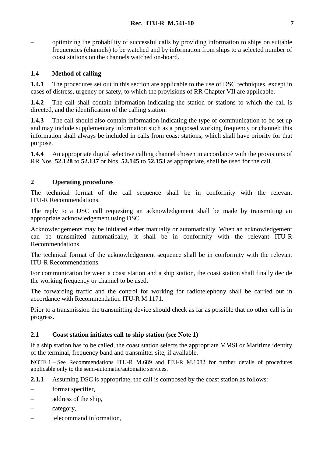– optimizing the probability of successful calls by providing information to ships on suitable frequencies (channels) to be watched and by information from ships to a selected number of coast stations on the channels watched on-board.

# **1.4 Method of calling**

**1.4.1** The procedures set out in this section are applicable to the use of DSC techniques, except in cases of distress, urgency or safety, to which the provisions of RR Chapter VII are applicable.

**1.4.2** The call shall contain information indicating the station or stations to which the call is directed, and the identification of the calling station.

**1.4.3** The call should also contain information indicating the type of communication to be set up and may include supplementary information such as a proposed working frequency or channel; this information shall always be included in calls from coast stations, which shall have priority for that purpose.

**1.4.4** An appropriate digital selective calling channel chosen in accordance with the provisions of RR Nos. **52.128** to **52.137** or Nos. **52.145** to **52.153** as appropriate, shall be used for the call.

# **2 Operating procedures**

The technical format of the call sequence shall be in conformity with the relevant ITU-R Recommendations.

The reply to a DSC call requesting an acknowledgement shall be made by transmitting an appropriate acknowledgement using DSC.

Acknowledgements may be initiated either manually or automatically. When an acknowledgement can be transmitted automatically, it shall be in conformity with the relevant ITU-R Recommendations.

The technical format of the acknowledgement sequence shall be in conformity with the relevant ITU-R Recommendations.

For communication between a coast station and a ship station, the coast station shall finally decide the working frequency or channel to be used.

The forwarding traffic and the control for working for radiotelephony shall be carried out in accordance with Recommendation ITU-R M.1171.

Prior to a transmission the transmitting device should check as far as possible that no other call is in progress.

# **2.1 Coast station initiates call to ship station (see Note 1)**

If a ship station has to be called, the coast station selects the appropriate MMSI or Maritime identity of the terminal, frequency band and transmitter site, if available.

NOTE 1 – See Recommendations ITU-R M.689 and ITU-R M.1082 for further details of procedures applicable only to the semi-automatic/automatic services.

**2.1.1** Assuming DSC is appropriate, the call is composed by the coast station as follows:

- format specifier,
- address of the ship,
- category,
- telecommand information,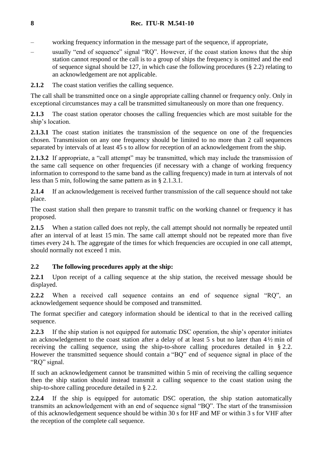- working frequency information in the message part of the sequence, if appropriate,
- usually "end of sequence" signal "RQ". However, if the coast station knows that the ship station cannot respond or the call is to a group of ships the frequency is omitted and the end of sequence signal should be 127, in which case the following procedures (§ 2.2) relating to an acknowledgement are not applicable.
- **2.1.2** The coast station verifies the calling sequence.

The call shall be transmitted once on a single appropriate calling channel or frequency only. Only in exceptional circumstances may a call be transmitted simultaneously on more than one frequency.

**2.1.3** The coast station operator chooses the calling frequencies which are most suitable for the ship's location.

**2.1.3.1** The coast station initiates the transmission of the sequence on one of the frequencies chosen. Transmission on any one frequency should be limited to no more than 2 call sequences separated by intervals of at least 45 s to allow for reception of an acknowledgement from the ship.

**2.1.3.2** If appropriate, a "call attempt" may be transmitted, which may include the transmission of the same call sequence on other frequencies (if necessary with a change of working frequency information to correspond to the same band as the calling frequency) made in turn at intervals of not less than 5 min, following the same pattern as in § 2.1.3.1.

**2.1.4** If an acknowledgement is received further transmission of the call sequence should not take place.

The coast station shall then prepare to transmit traffic on the working channel or frequency it has proposed.

**2.1.5** When a station called does not reply, the call attempt should not normally be repeated until after an interval of at least 15 min. The same call attempt should not be repeated more than five times every 24 h. The aggregate of the times for which frequencies are occupied in one call attempt, should normally not exceed 1 min.

## **2.2 The following procedures apply at the ship:**

2.2.1 Upon receipt of a calling sequence at the ship station, the received message should be displayed.

**2.2.2** When a received call sequence contains an end of sequence signal "RQ", an acknowledgement sequence should be composed and transmitted.

The format specifier and category information should be identical to that in the received calling sequence.

**2.2.3** If the ship station is not equipped for automatic DSC operation, the ship's operator initiates an acknowledgement to the coast station after a delay of at least 5 s but no later than 4 ½ min of receiving the calling sequence, using the ship-to-shore calling procedures detailed in § 2.2. However the transmitted sequence should contain a "BQ" end of sequence signal in place of the "RQ" signal.

If such an acknowledgement cannot be transmitted within 5 min of receiving the calling sequence then the ship station should instead transmit a calling sequence to the coast station using the ship-to-shore calling procedure detailed in § 2.2.

**2.2.4** If the ship is equipped for automatic DSC operation, the ship station automatically transmits an acknowledgement with an end of sequence signal "BQ". The start of the transmission of this acknowledgement sequence should be within 30 s for HF and MF or within 3 s for VHF after the reception of the complete call sequence.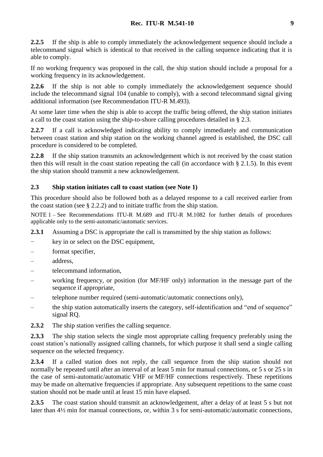**2.2.5** If the ship is able to comply immediately the acknowledgement sequence should include a telecommand signal which is identical to that received in the calling sequence indicating that it is able to comply.

If no working frequency was proposed in the call, the ship station should include a proposal for a working frequency in its acknowledgement.

2.2.6 If the ship is not able to comply immediately the acknowledgement sequence should include the telecommand signal 104 (unable to comply), with a second telecommand signal giving additional information (see Recommendation ITU-R M.493).

At some later time when the ship is able to accept the traffic being offered, the ship station initiates a call to the coast station using the ship-to-shore calling procedures detailed in § 2.3.

2.2.7 If a call is acknowledged indicating ability to comply immediately and communication between coast station and ship station on the working channel agreed is established, the DSC call procedure is considered to be completed.

**2.2.8** If the ship station transmits an acknowledgement which is not received by the coast station then this will result in the coast station repeating the call (in accordance with § 2.1.5). In this event the ship station should transmit a new acknowledgement.

# **2.3 Ship station initiates call to coast station (see Note 1)**

This procedure should also be followed both as a delayed response to a call received earlier from the coast station (see § 2.2.2) and to initiate traffic from the ship station.

NOTE 1 – See Recommendations ITU-R M.689 and ITU-R M.1082 for further details of procedures applicable only to the semi-automatic/automatic services.

**2.3.1** Assuming a DSC is appropriate the call is transmitted by the ship station as follows:

- − key in or select on the DSC equipment,
- format specifier,
- address,
- telecommand information,
- working frequency, or position (for MF/HF only) information in the message part of the sequence if appropriate,
- telephone number required (semi-automatic/automatic connections only),
- the ship station automatically inserts the category, self-identification and "end of sequence" signal RQ.
- **2.3.2** The ship station verifies the calling sequence.

**2.3.3** The ship station selects the single most appropriate calling frequency preferably using the coast station's nationally assigned calling channels, for which purpose it shall send a single calling sequence on the selected frequency.

**2.3.4** If a called station does not reply, the call sequence from the ship station should not normally be repeated until after an interval of at least 5 min for manual connections, or 5 s or 25 s in the case of semi-automatic/automatic VHF or MF/HF connections respectively. These repetitions may be made on alternative frequencies if appropriate. Any subsequent repetitions to the same coast station should not be made until at least 15 min have elapsed.

2.3.5 The coast station should transmit an acknowledgement, after a delay of at least 5 s but not later than 4½ min for manual connections, or, within 3 s for semi-automatic/automatic connections,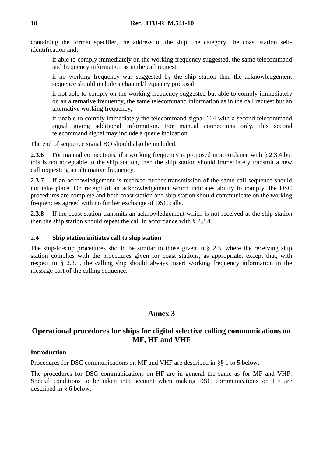containing the format specifier, the address of the ship, the category, the coast station selfidentification and:

- if able to comply immediately on the working frequency suggested, the same telecommand and frequency information as in the call request;
- if no working frequency was suggested by the ship station then the acknowledgement sequence should include a channel/frequency proposal;
- if not able to comply on the working frequency suggested but able to comply immediately on an alternative frequency, the same telecommand information as in the call request but an alternative working frequency;
- if unable to comply immediately the telecommand signal 104 with a second telecommand signal giving additional information. For manual connections only, this second telecommand signal may include a queue indication.

The end of sequence signal BQ should also be included.

**2.3.6** For manual connections, if a working frequency is proposed in accordance with § 2.3.4 but this is not acceptable to the ship station, then the ship station should immediately transmit a new call requesting an alternative frequency.

**2.3.7** If an acknowledgement is received further transmission of the same call sequence should not take place. On receipt of an acknowledgement which indicates ability to comply, the DSC procedures are complete and both coast station and ship station should communicate on the working frequencies agreed with no further exchange of DSC calls.

**2.3.8** If the coast station transmits an acknowledgement which is not received at the ship station then the ship station should repeat the call in accordance with § 2.3.4.

#### **2.4 Ship station initiates call to ship station**

The ship-to-ship procedures should be similar to those given in § 2.3, where the receiving ship station complies with the procedures given for coast stations, as appropriate, except that, with respect to § 2.3.1, the calling ship should always insert working frequency information in the message part of the calling sequence.

# **Annex 3**

# **Operational procedures for ships for digital selective calling communications on MF, HF and VHF**

#### **Introduction**

Procedures for DSC communications on MF and VHF are described in §§ 1 to 5 below.

The procedures for DSC communications on HF are in general the same as for MF and VHF. Special conditions to be taken into account when making DSC communications on HF are described in § 6 below.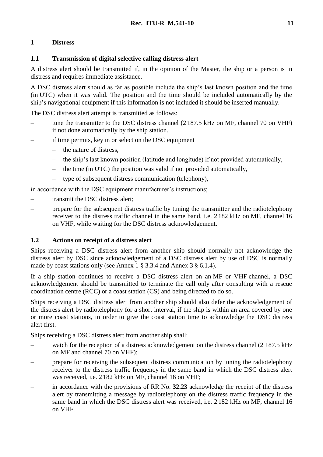# **1 Distress**

## **1.1 Transmission of digital selective calling distress alert**

A distress alert should be transmitted if, in the opinion of the Master, the ship or a person is in distress and requires immediate assistance.

A DSC distress alert should as far as possible include the ship's last known position and the time (in UTC) when it was valid. The position and the time should be included automatically by the ship's navigational equipment if this information is not included it should be inserted manually.

The DSC distress alert attempt is transmitted as follows:

- tune the transmitter to the DSC distress channel (2 187.5 kHz on MF, channel 70 on VHF) if not done automatically by the ship station.
- if time permits, key in or select on the DSC equipment
	- the nature of distress.
	- the ship's last known position (latitude and longitude) if not provided automatically,
	- the time (in UTC) the position was valid if not provided automatically,
	- type of subsequent distress communication (telephony),

in accordance with the DSC equipment manufacturer's instructions;

- transmit the DSC distress alert;
- prepare for the subsequent distress traffic by tuning the transmitter and the radiotelephony receiver to the distress traffic channel in the same band, i.e. 2 182 kHz on MF, channel 16 on VHF, while waiting for the DSC distress acknowledgement.

# **1.2 Actions on receipt of a distress alert**

Ships receiving a DSC distress alert from another ship should normally not acknowledge the distress alert by DSC since acknowledgement of a DSC distress alert by use of DSC is normally made by coast stations only (see Annex 1 § 3.3.4 and Annex 3 § 6.1.4).

If a ship station continues to receive a DSC distress alert on an MF or VHF channel, a DSC acknowledgement should be transmitted to terminate the call only after consulting with a rescue coordination centre (RCC) or a coast station (CS) and being directed to do so.

Ships receiving a DSC distress alert from another ship should also defer the acknowledgement of the distress alert by radiotelephony for a short interval, if the ship is within an area covered by one or more coast stations, in order to give the coast station time to acknowledge the DSC distress alert first.

Ships receiving a DSC distress alert from another ship shall:

- watch for the reception of a distress acknowledgement on the distress channel (2 187.5 kHz on MF and channel 70 on VHF);
- prepare for receiving the subsequent distress communication by tuning the radiotelephony receiver to the distress traffic frequency in the same band in which the DSC distress alert was received, i.e. 2 182 kHz on MF, channel 16 on VHF;
- in accordance with the provisions of RR No. **32.23** acknowledge the receipt of the distress alert by transmitting a message by radiotelephony on the distress traffic frequency in the same band in which the DSC distress alert was received, i.e. 2 182 kHz on MF, channel 16 on VHF.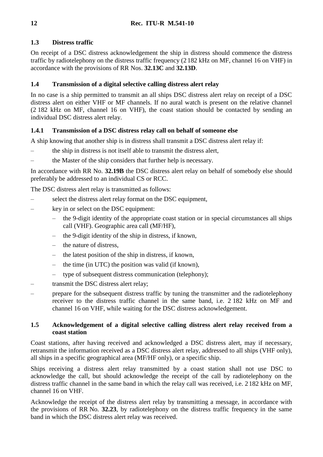# **1.3 Distress traffic**

On receipt of a DSC distress acknowledgement the ship in distress should commence the distress traffic by radiotelephony on the distress traffic frequency (2 182 kHz on MF, channel 16 on VHF) in accordance with the provisions of RR Nos. **32.13C** and **32.13D**.

# **1.4 Transmission of a digital selective calling distress alert relay**

In no case is a ship permitted to transmit an all ships DSC distress alert relay on receipt of a DSC distress alert on either VHF or MF channels. If no aural watch is present on the relative channel (2 182 kHz on MF, channel 16 on VHF), the coast station should be contacted by sending an individual DSC distress alert relay.

# **1.4.1 Transmission of a DSC distress relay call on behalf of someone else**

A ship knowing that another ship is in distress shall transmit a DSC distress alert relay if:

- the ship in distress is not itself able to transmit the distress alert,
- the Master of the ship considers that further help is necessary.

In accordance with RR No. **32.19B** the DSC distress alert relay on behalf of somebody else should preferably be addressed to an individual CS or RCC.

The DSC distress alert relay is transmitted as follows:

- select the distress alert relay format on the DSC equipment,
- key in or select on the DSC equipment:
	- the 9-digit identity of the appropriate coast station or in special circumstances all ships call (VHF). Geographic area call (MF/HF),
	- the 9-digit identity of the ship in distress, if known,
	- the nature of distress.
	- the latest position of the ship in distress, if known,
	- the time (in UTC) the position was valid (if known),
	- type of subsequent distress communication (telephony);
- transmit the DSC distress alert relay;
- prepare for the subsequent distress traffic by tuning the transmitter and the radiotelephony receiver to the distress traffic channel in the same band, i.e. 2 182 kHz on MF and channel 16 on VHF, while waiting for the DSC distress acknowledgement.

## **1.5 Acknowledgement of a digital selective calling distress alert relay received from a coast station**

Coast stations, after having received and acknowledged a DSC distress alert, may if necessary, retransmit the information received as a DSC distress alert relay, addressed to all ships (VHF only), all ships in a specific geographical area (MF/HF only), or a specific ship.

Ships receiving a distress alert relay transmitted by a coast station shall not use DSC to acknowledge the call, but should acknowledge the receipt of the call by radiotelephony on the distress traffic channel in the same band in which the relay call was received, i.e. 2 182 kHz on MF, channel 16 on VHF.

Acknowledge the receipt of the distress alert relay by transmitting a message, in accordance with the provisions of RR No. **32.23**, by radiotelephony on the distress traffic frequency in the same band in which the DSC distress alert relay was received.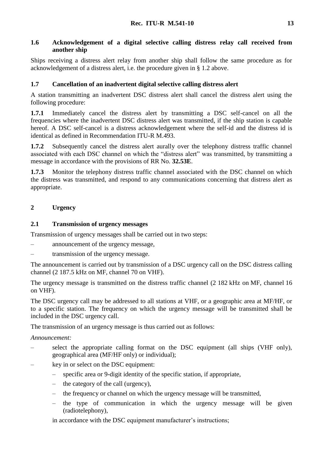## **1.6 Acknowledgement of a digital selective calling distress relay call received from another ship**

Ships receiving a distress alert relay from another ship shall follow the same procedure as for acknowledgement of a distress alert, i.e. the procedure given in § 1.2 above.

## **1.7 Cancellation of an inadvertent digital selective calling distress alert**

A station transmitting an inadvertent DSC distress alert shall cancel the distress alert using the following procedure:

**1.7.1** Immediately cancel the distress alert by transmitting a DSC self-cancel on all the frequencies where the inadvertent DSC distress alert was transmitted, if the ship station is capable hereof. A DSC self-cancel is a distress acknowledgement where the self-id and the distress id is identical as defined in Recommendation ITU-R M.493.

**1.7.2** Subsequently cancel the distress alert aurally over the telephony distress traffic channel associated with each DSC channel on which the "distress alert" was transmitted, by transmitting a message in accordance with the provisions of RR No. **32.53E**.

**1.7.3** Monitor the telephony distress traffic channel associated with the DSC channel on which the distress was transmitted, and respond to any communications concerning that distress alert as appropriate.

## **2 Urgency**

## **2.1 Transmission of urgency messages**

Transmission of urgency messages shall be carried out in two steps:

- announcement of the urgency message,
- transmission of the urgency message.

The announcement is carried out by transmission of a DSC urgency call on the DSC distress calling channel (2 187.5 kHz on MF, channel 70 on VHF).

The urgency message is transmitted on the distress traffic channel (2 182 kHz on MF, channel 16 on VHF).

The DSC urgency call may be addressed to all stations at VHF, or a geographic area at MF/HF, or to a specific station. The frequency on which the urgency message will be transmitted shall be included in the DSC urgency call.

The transmission of an urgency message is thus carried out as follows:

*Announcement:*

- select the appropriate calling format on the DSC equipment (all ships (VHF only), geographical area (MF/HF only) or individual);
- key in or select on the DSC equipment:
	- specific area or 9-digit identity of the specific station, if appropriate,
	- the category of the call (urgency),
	- the frequency or channel on which the urgency message will be transmitted,
	- the type of communication in which the urgency message will be given (radiotelephony),

in accordance with the DSC equipment manufacturer's instructions;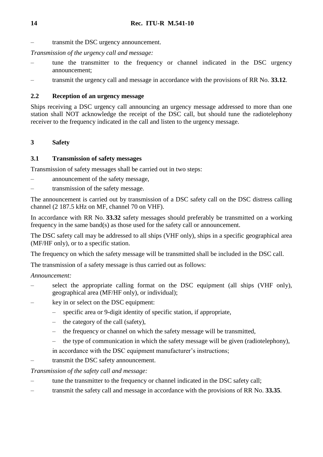transmit the DSC urgency announcement.

*Transmission of the urgency call and message:*

- tune the transmitter to the frequency or channel indicated in the DSC urgency announcement;
- transmit the urgency call and message in accordance with the provisions of RR No. **33.12**.

#### **2.2 Reception of an urgency message**

Ships receiving a DSC urgency call announcing an urgency message addressed to more than one station shall NOT acknowledge the receipt of the DSC call, but should tune the radiotelephony receiver to the frequency indicated in the call and listen to the urgency message.

#### **3 Safety**

#### **3.1 Transmission of safety messages**

Transmission of safety messages shall be carried out in two steps:

- announcement of the safety message,
- transmission of the safety message.

The announcement is carried out by transmission of a DSC safety call on the DSC distress calling channel (2 187.5 kHz on MF, channel 70 on VHF).

In accordance with RR No. **33.32** safety messages should preferably be transmitted on a working frequency in the same band(s) as those used for the safety call or announcement.

The DSC safety call may be addressed to all ships (VHF only), ships in a specific geographical area (MF/HF only), or to a specific station.

The frequency on which the safety message will be transmitted shall be included in the DSC call.

The transmission of a safety message is thus carried out as follows:

*Announcement:*

- select the appropriate calling format on the DSC equipment (all ships (VHF only), geographical area (MF/HF only), or individual);
- key in or select on the DSC equipment:
	- specific area or 9-digit identity of specific station, if appropriate,
	- the category of the call (safety),
	- the frequency or channel on which the safety message will be transmitted,
	- the type of communication in which the safety message will be given (radiotelephony),
	- in accordance with the DSC equipment manufacturer's instructions;
	- transmit the DSC safety announcement.

*Transmission of the safety call and message:*

- tune the transmitter to the frequency or channel indicated in the DSC safety call;
- transmit the safety call and message in accordance with the provisions of RR No. **33.35**.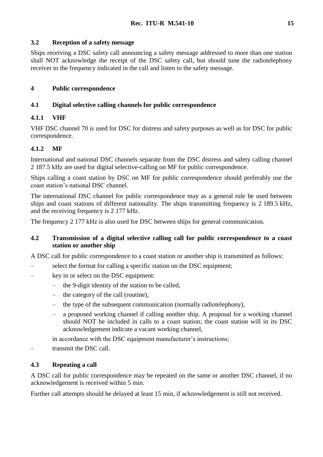## **3.2 Reception of a safety message**

Ships receiving a DSC safety call announcing a safety message addressed to more than one station shall NOT acknowledge the receipt of the DSC safety call, but should tune the radiotelephony receiver to the frequency indicated in the call and listen to the safety message.

## **4 Public correspondence**

#### **4.1 Digital selective calling channels for public correspondence**

## **4.1.1 VHF**

VHF DSC channel 70 is used for DSC for distress and safety purposes as well as for DSC for public correspondence.

## **4.1.2 MF**

International and national DSC channels separate from the DSC distress and safety calling channel 2 187.5 kHz are used for digital selective-calling on MF for public correspondence.

Ships calling a coast station by DSC on MF for public correspondence should preferably use the coast station's national DSC channel.

The international DSC channel for public correspondence may as a general rule be used between ships and coast stations of different nationality. The ships transmitting frequency is 2 189.5 kHz, and the receiving frequency is 2 177 kHz.

The frequency 2 177 kHz is also used for DSC between ships for general communication.

## **4.2 Transmission of a digital selective calling call for public correspondence to a coast station or another ship**

A DSC call for public correspondence to a coast station or another ship is transmitted as follows:

- select the format for calling a specific station on the DSC equipment;
- key in or select on the DSC equipment:
	- the 9-digit identity of the station to be called,
	- the category of the call (routine),
	- the type of the subsequent communication (normally radiotelephony),
	- a proposed working channel if calling another ship. A proposal for a working channel should NOT be included in calls to a coast station; the coast station will in its DSC acknowledgement indicate a vacant working channel,

in accordance with the DSC equipment manufacturer's instructions;

transmit the DSC call.

## **4.3 Repeating a call**

A DSC call for public correspondence may be repeated on the same or another DSC channel, if no acknowledgement is received within 5 min.

Further call attempts should be delayed at least 15 min, if acknowledgement is still not received.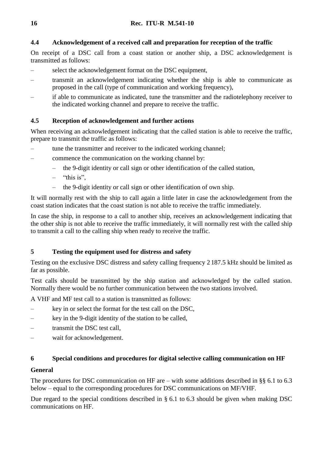# **4.4 Acknowledgement of a received call and preparation for reception of the traffic**

On receipt of a DSC call from a coast station or another ship, a DSC acknowledgement is transmitted as follows:

- select the acknowledgement format on the DSC equipment,
- transmit an acknowledgement indicating whether the ship is able to communicate as proposed in the call (type of communication and working frequency),
- if able to communicate as indicated, tune the transmitter and the radiotelephony receiver to the indicated working channel and prepare to receive the traffic.

# **4.5 Reception of acknowledgement and further actions**

When receiving an acknowledgement indicating that the called station is able to receive the traffic, prepare to transmit the traffic as follows:

- tune the transmitter and receiver to the indicated working channel;
- commence the communication on the working channel by:
	- the 9-digit identity or call sign or other identification of the called station,
	- $-$  "this is".
	- the 9-digit identity or call sign or other identification of own ship.

It will normally rest with the ship to call again a little later in case the acknowledgement from the coast station indicates that the coast station is not able to receive the traffic immediately.

In case the ship, in response to a call to another ship, receives an acknowledgement indicating that the other ship is not able to receive the traffic immediately, it will normally rest with the called ship to transmit a call to the calling ship when ready to receive the traffic.

# **5 Testing the equipment used for distress and safety**

Testing on the exclusive DSC distress and safety calling frequency 2 187.5 kHz should be limited as far as possible.

Test calls should be transmitted by the ship station and acknowledged by the called station. Normally there would be no further communication between the two stations involved.

A VHF and MF test call to a station is transmitted as follows:

- key in or select the format for the test call on the DSC,
- key in the 9-digit identity of the station to be called,
- transmit the DSC test call.
- wait for acknowledgement.

# **6 Special conditions and procedures for digital selective calling communication on HF**

# **General**

The procedures for DSC communication on HF are – with some additions described in §§ 6.1 to 6.3 below – equal to the corresponding procedures for DSC communications on MF/VHF.

Due regard to the special conditions described in § 6.1 to 6.3 should be given when making DSC communications on HF.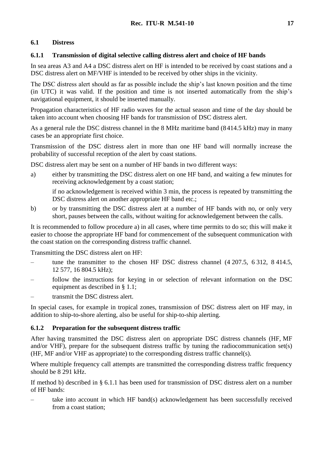## **6.1 Distress**

## **6.1.1 Transmission of digital selective calling distress alert and choice of HF bands**

In sea areas A3 and A4 a DSC distress alert on HF is intended to be received by coast stations and a DSC distress alert on MF/VHF is intended to be received by other ships in the vicinity.

The DSC distress alert should as far as possible include the ship's last known position and the time (in UTC) it was valid. If the position and time is not inserted automatically from the ship's navigational equipment, it should be inserted manually.

Propagation characteristics of HF radio waves for the actual season and time of the day should be taken into account when choosing HF bands for transmission of DSC distress alert.

As a general rule the DSC distress channel in the 8 MHz maritime band (8 414.5 kHz) may in many cases be an appropriate first choice.

Transmission of the DSC distress alert in more than one HF band will normally increase the probability of successful reception of the alert by coast stations.

DSC distress alert may be sent on a number of HF bands in two different ways:

a) either by transmitting the DSC distress alert on one HF band, and waiting a few minutes for receiving acknowledgement by a coast station;

if no acknowledgement is received within 3 min, the process is repeated by transmitting the DSC distress alert on another appropriate HF band etc.;

b) or by transmitting the DSC distress alert at a number of HF bands with no, or only very short, pauses between the calls, without waiting for acknowledgement between the calls.

It is recommended to follow procedure a) in all cases, where time permits to do so; this will make it easier to choose the appropriate HF band for commencement of the subsequent communication with the coast station on the corresponding distress traffic channel.

Transmitting the DSC distress alert on HF:

- tune the transmitter to the chosen HF DSC distress channel (4 207.5, 6 312, 8 414.5, 12 577, 16 804.5 kHz);
- follow the instructions for keying in or selection of relevant information on the DSC equipment as described in § 1.1;
- transmit the DSC distress alert.

In special cases, for example in tropical zones, transmission of DSC distress alert on HF may, in addition to ship-to-shore alerting, also be useful for ship-to-ship alerting.

# **6.1.2 Preparation for the subsequent distress traffic**

After having transmitted the DSC distress alert on appropriate DSC distress channels (HF, MF and/or VHF), prepare for the subsequent distress traffic by tuning the radiocommunication set(s) (HF, MF and/or VHF as appropriate) to the corresponding distress traffic channel(s).

Where multiple frequency call attempts are transmitted the corresponding distress traffic frequency should be 8 291 kHz.

If method b) described in § 6.1.1 has been used for transmission of DSC distress alert on a number of HF bands:

– take into account in which HF band(s) acknowledgement has been successfully received from a coast station;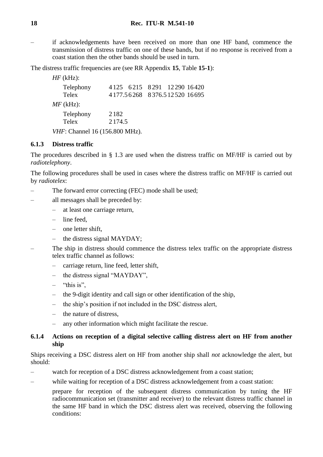– if acknowledgements have been received on more than one HF band, commence the transmission of distress traffic on one of these bands, but if no response is received from a coast station then the other bands should be used in turn.

The distress traffic frequencies are (see RR Appendix **15**, Table **15-1**):

| $HF(kHz)$ : |                                                |                                  |
|-------------|------------------------------------------------|----------------------------------|
| Telephony   |                                                | 4 125 6 215 8 291 12 290 16 4 20 |
| Telex       |                                                | 4177.56268 8376.512520 16695     |
| $MF(kHz)$ : |                                                |                                  |
| Telephony   | 2182                                           |                                  |
| Telex       | 2 1 7 4 .5                                     |                                  |
| TTTITAT     | $1.1 \times 11.7 \times 0.00.3$ and $\sqrt{1}$ |                                  |

*VHF*: Channel 16 (156.800 MHz).

## **6.1.3 Distress traffic**

The procedures described in § 1.3 are used when the distress traffic on MF/HF is carried out by *radiotelephony*.

The following procedures shall be used in cases where the distress traffic on MF/HF is carried out by *radiotelex*:

- The forward error correcting (FEC) mode shall be used;
- all messages shall be preceded by:
	- at least one carriage return,
	- line feed.
	- one letter shift,
	- the distress signal MAYDAY;
- The ship in distress should commence the distress telex traffic on the appropriate distress telex traffic channel as follows:
	- carriage return, line feed, letter shift,
	- the distress signal "MAYDAY",
	- "this is",
	- the 9-digit identity and call sign or other identification of the ship,
	- the ship's position if not included in the DSC distress alert,
	- the nature of distress.
	- any other information which might facilitate the rescue.

## **6.1.4 Actions on reception of a digital selective calling distress alert on HF from another ship**

Ships receiving a DSC distress alert on HF from another ship shall *not* acknowledge the alert, but should:

- watch for reception of a DSC distress acknowledgement from a coast station;
- while waiting for reception of a DSC distress acknowledgement from a coast station:

prepare for reception of the subsequent distress communication by tuning the HF radiocommunication set (transmitter and receiver) to the relevant distress traffic channel in the same HF band in which the DSC distress alert was received, observing the following conditions: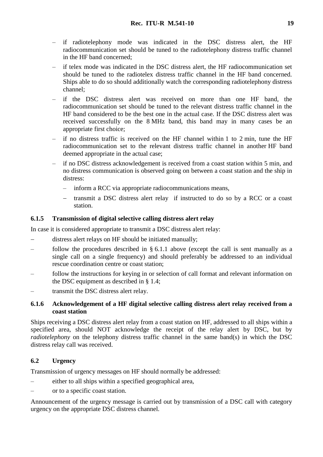- if radiotelephony mode was indicated in the DSC distress alert, the HF radiocommunication set should be tuned to the radiotelephony distress traffic channel in the HF band concerned;
- if telex mode was indicated in the DSC distress alert, the HF radiocommunication set should be tuned to the radiotelex distress traffic channel in the HF band concerned. Ships able to do so should additionally watch the corresponding radiotelephony distress channel;
- if the DSC distress alert was received on more than one HF band, the radiocommunication set should be tuned to the relevant distress traffic channel in the HF band considered to be the best one in the actual case. If the DSC distress alert was received successfully on the 8 MHz band, this band may in many cases be an appropriate first choice;
- if no distress traffic is received on the HF channel within 1 to 2 min, tune the HF radiocommunication set to the relevant distress traffic channel in another HF band deemed appropriate in the actual case;
- if no DSC distress acknowledgement is received from a coast station within 5 min, and no distress communication is observed going on between a coast station and the ship in distress:
	- inform a RCC via appropriate radiocommunications means,
	- transmit a DSC distress alert relay if instructed to do so by a RCC or a coast station.

## **6.1.5 Transmission of digital selective calling distress alert relay**

In case it is considered appropriate to transmit a DSC distress alert relay:

- distress alert relays on HF should be initiated manually;
- follow the procedures described in  $\S 6.1.1$  above (except the call is sent manually as a single call on a single frequency) and should preferably be addressed to an individual rescue coordination centre or coast station;
- follow the instructions for keying in or selection of call format and relevant information on the DSC equipment as described in § 1.4;
- transmit the DSC distress alert relay.

## **6.1.6 Acknowledgement of a HF digital selective calling distress alert relay received from a coast station**

Ships receiving a DSC distress alert relay from a coast station on HF, addressed to all ships within a specified area, should NOT acknowledge the receipt of the relay alert by DSC, but by *radiotelephony* on the telephony distress traffic channel in the same band(s) in which the DSC distress relay call was received.

## **6.2 Urgency**

Transmission of urgency messages on HF should normally be addressed:

- either to all ships within a specified geographical area,
- or to a specific coast station.

Announcement of the urgency message is carried out by transmission of a DSC call with category urgency on the appropriate DSC distress channel.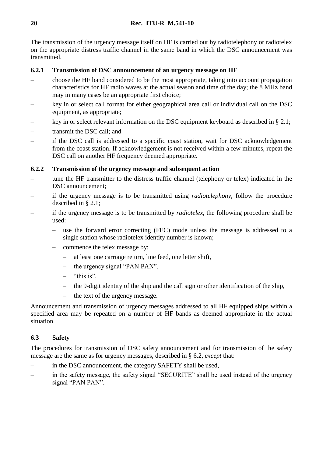The transmission of the urgency message itself on HF is carried out by radiotelephony or radiotelex on the appropriate distress traffic channel in the same band in which the DSC announcement was transmitted.

## **6.2.1 Transmission of DSC announcement of an urgency message on HF**

- choose the HF band considered to be the most appropriate, taking into account propagation characteristics for HF radio waves at the actual season and time of the day; the 8 MHz band may in many cases be an appropriate first choice;
- key in or select call format for either geographical area call or individual call on the DSC equipment, as appropriate;
- key in or select relevant information on the DSC equipment keyboard as described in § 2.1;
- transmit the DSC call; and
- if the DSC call is addressed to a specific coast station, wait for DSC acknowledgement from the coast station. If acknowledgement is not received within a few minutes, repeat the DSC call on another HF frequency deemed appropriate.

#### **6.2.2 Transmission of the urgency message and subsequent action**

- tune the HF transmitter to the distress traffic channel (telephony or telex) indicated in the DSC announcement;
- if the urgency message is to be transmitted using *radiotelephony*, follow the procedure described in § 2.1;
- if the urgency message is to be transmitted by *radiotelex*, the following procedure shall be used:
	- use the forward error correcting (FEC) mode unless the message is addressed to a single station whose radiotelex identity number is known;
	- commence the telex message by:
		- at least one carriage return, line feed, one letter shift,
		- the urgency signal "PAN PAN",
		- $-$  "this is",
		- the 9-digit identity of the ship and the call sign or other identification of the ship,
		- the text of the urgency message.

Announcement and transmission of urgency messages addressed to all HF equipped ships within a specified area may be repeated on a number of HF bands as deemed appropriate in the actual situation.

## **6.3 Safety**

The procedures for transmission of DSC safety announcement and for transmission of the safety message are the same as for urgency messages, described in § 6.2, *except* that:

- in the DSC announcement, the category SAFETY shall be used,
- in the safety message, the safety signal "SECURITE" shall be used instead of the urgency signal "PAN PAN".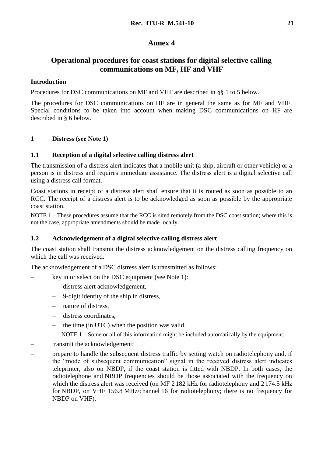# **Annex 4**

# **Operational procedures for coast stations for digital selective calling communications on MF, HF and VHF**

## **Introduction**

Procedures for DSC communications on MF and VHF are described in §§ 1 to 5 below.

The procedures for DSC communications on HF are in general the same as for MF and VHF. Special conditions to be taken into account when making DSC communications on HF are described in § 6 below.

## **1 Distress (see Note 1)**

## **1.1 Reception of a digital selective calling distress alert**

The transmission of a distress alert indicates that a mobile unit (a ship, aircraft or other vehicle) or a person is in distress and requires immediate assistance. The distress alert is a digital selective call using a distress call format.

Coast stations in receipt of a distress alert shall ensure that it is routed as soon as possible to an RCC. The receipt of a distress alert is to be acknowledged as soon as possible by the appropriate coast station.

NOTE 1 – These procedures assume that the RCC is sited remotely from the DSC coast station; where this is not the case, appropriate amendments should be made locally.

## **1.2 Acknowledgement of a digital selective calling distress alert**

The coast station shall transmit the distress acknowledgement on the distress calling frequency on which the call was received.

The acknowledgement of a DSC distress alert is transmitted as follows:

- key in or select on the DSC equipment (see Note 1):
	- distress alert acknowledgement,
	- 9-digit identity of the ship in distress,
	- nature of distress,
	- distress coordinates,
	- the time (in UTC) when the position was valid.
		- NOTE  $1$  Some or all of this information might be included automatically by the equipment;
- transmit the acknowledgement;
- prepare to handle the subsequent distress traffic by setting watch on radiotelephony and, if the "mode of subsequent communication" signal in the received distress alert indicates teleprinter, also on NBDP, if the coast station is fitted with NBDP. In both cases, the radiotelephone and NBDP frequencies should be those associated with the frequency on which the distress alert was received (on MF 2 182 kHz for radiotelephony and 2 174.5 kHz for NBDP, on VHF 156.8 MHz/channel 16 for radiotelephony; there is no frequency for NBDP on VHF).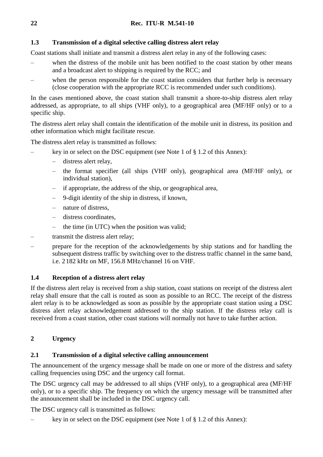# **1.3 Transmission of a digital selective calling distress alert relay**

Coast stations shall initiate and transmit a distress alert relay in any of the following cases:

- when the distress of the mobile unit has been notified to the coast station by other means and a broadcast alert to shipping is required by the RCC; and
- when the person responsible for the coast station considers that further help is necessary (close cooperation with the appropriate RCC is recommended under such conditions).

In the cases mentioned above, the coast station shall transmit a shore-to-ship distress alert relay addressed, as appropriate, to all ships (VHF only), to a geographical area (MF/HF only) or to a specific ship.

The distress alert relay shall contain the identification of the mobile unit in distress, its position and other information which might facilitate rescue.

The distress alert relay is transmitted as follows:

- key in or select on the DSC equipment (see Note 1 of § 1.2 of this Annex):
	- distress alert relay,
	- the format specifier (all ships (VHF only), geographical area (MF/HF only), or individual station),
	- if appropriate, the address of the ship, or geographical area,
	- 9-digit identity of the ship in distress, if known,
	- nature of distress,
	- distress coordinates,
	- the time (in UTC) when the position was valid;
- transmit the distress alert relay;
- prepare for the reception of the acknowledgements by ship stations and for handling the subsequent distress traffic by switching over to the distress traffic channel in the same band, i.e. 2 182 kHz on MF, 156.8 MHz/channel 16 on VHF.

# **1.4 Reception of a distress alert relay**

If the distress alert relay is received from a ship station, coast stations on receipt of the distress alert relay shall ensure that the call is routed as soon as possible to an RCC. The receipt of the distress alert relay is to be acknowledged as soon as possible by the appropriate coast station using a DSC distress alert relay acknowledgement addressed to the ship station. If the distress relay call is received from a coast station, other coast stations will normally not have to take further action.

# **2 Urgency**

## **2.1 Transmission of a digital selective calling announcement**

The announcement of the urgency message shall be made on one or more of the distress and safety calling frequencies using DSC and the urgency call format.

The DSC urgency call may be addressed to all ships (VHF only), to a geographical area (MF/HF only), or to a specific ship. The frequency on which the urgency message will be transmitted after the announcement shall be included in the DSC urgency call.

The DSC urgency call is transmitted as follows:

– key in or select on the DSC equipment (see Note 1 of § 1.2 of this Annex):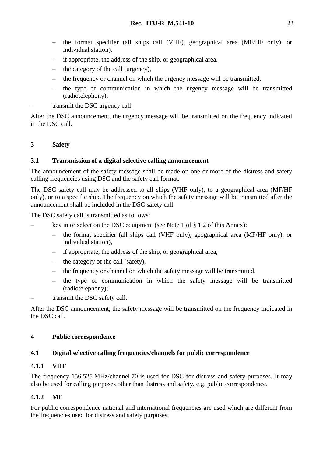- the format specifier (all ships call (VHF), geographical area (MF/HF only), or individual station),
- if appropriate, the address of the ship, or geographical area,
- the category of the call (urgency),
- the frequency or channel on which the urgency message will be transmitted,
- the type of communication in which the urgency message will be transmitted (radiotelephony);
- transmit the DSC urgency call.

After the DSC announcement, the urgency message will be transmitted on the frequency indicated in the DSC call.

# **3 Safety**

# **3.1 Transmission of a digital selective calling announcement**

The announcement of the safety message shall be made on one or more of the distress and safety calling frequencies using DSC and the safety call format.

The DSC safety call may be addressed to all ships (VHF only), to a geographical area (MF/HF only), or to a specific ship. The frequency on which the safety message will be transmitted after the announcement shall be included in the DSC safety call.

The DSC safety call is transmitted as follows:

- key in or select on the DSC equipment (see Note 1 of § 1.2 of this Annex):
	- the format specifier (all ships call (VHF only), geographical area (MF/HF only), or individual station),
	- if appropriate, the address of the ship, or geographical area,
	- the category of the call (safety),
	- the frequency or channel on which the safety message will be transmitted,
	- the type of communication in which the safety message will be transmitted (radiotelephony);
- transmit the DSC safety call.

After the DSC announcement, the safety message will be transmitted on the frequency indicated in the DSC call.

# **4 Public correspondence**

# **4.1 Digital selective calling frequencies/channels for public correspondence**

## **4.1.1 VHF**

The frequency 156.525 MHz/channel 70 is used for DSC for distress and safety purposes. It may also be used for calling purposes other than distress and safety, e.g. public correspondence.

# **4.1.2 MF**

For public correspondence national and international frequencies are used which are different from the frequencies used for distress and safety purposes.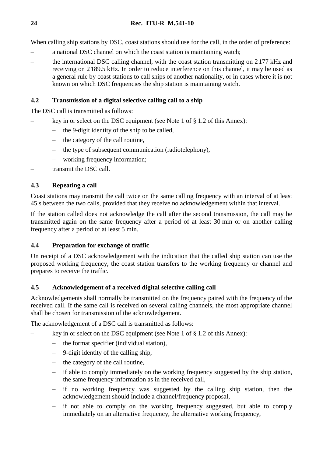When calling ship stations by DSC, coast stations should use for the call, in the order of preference:

- a national DSC channel on which the coast station is maintaining watch;
- the international DSC calling channel, with the coast station transmitting on 2 177 kHz and receiving on 2 189.5 kHz. In order to reduce interference on this channel, it may be used as a general rule by coast stations to call ships of another nationality, or in cases where it is not known on which DSC frequencies the ship station is maintaining watch.

# **4.2 Transmission of a digital selective calling call to a ship**

The DSC call is transmitted as follows:

- key in or select on the DSC equipment (see Note 1 of § 1.2 of this Annex):
	- the 9-digit identity of the ship to be called,
	- the category of the call routine,
	- the type of subsequent communication (radiotelephony),
	- working frequency information;
- transmit the DSC call.

# **4.3 Repeating a call**

Coast stations may transmit the call twice on the same calling frequency with an interval of at least 45 s between the two calls, provided that they receive no acknowledgement within that interval.

If the station called does not acknowledge the call after the second transmission, the call may be transmitted again on the same frequency after a period of at least 30 min or on another calling frequency after a period of at least 5 min.

# **4.4 Preparation for exchange of traffic**

On receipt of a DSC acknowledgement with the indication that the called ship station can use the proposed working frequency, the coast station transfers to the working frequency or channel and prepares to receive the traffic.

# **4.5 Acknowledgement of a received digital selective calling call**

Acknowledgements shall normally be transmitted on the frequency paired with the frequency of the received call. If the same call is received on several calling channels, the most appropriate channel shall be chosen for transmission of the acknowledgement.

The acknowledgement of a DSC call is transmitted as follows:

- key in or select on the DSC equipment (see Note 1 of § 1.2 of this Annex):
	- the format specifier (individual station),
	- 9-digit identity of the calling ship,
	- the category of the call routine,
	- if able to comply immediately on the working frequency suggested by the ship station, the same frequency information as in the received call,
	- if no working frequency was suggested by the calling ship station, then the acknowledgement should include a channel/frequency proposal,
	- if not able to comply on the working frequency suggested, but able to comply immediately on an alternative frequency, the alternative working frequency,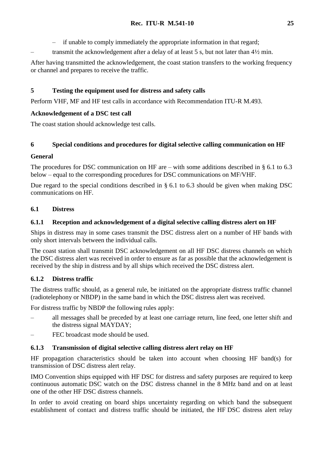- if unable to comply immediately the appropriate information in that regard;
- transmit the acknowledgement after a delay of at least 5 s, but not later than  $4\frac{1}{2}$  min.

After having transmitted the acknowledgement, the coast station transfers to the working frequency or channel and prepares to receive the traffic.

## **5 Testing the equipment used for distress and safety calls**

Perform VHF, MF and HF test calls in accordance with Recommendation ITU-R M.493.

## **Acknowledgement of a DSC test call**

The coast station should acknowledge test calls.

## **6 Special conditions and procedures for digital selective calling communication on HF**

## **General**

The procedures for DSC communication on HF are – with some additions described in § 6.1 to 6.3 below – equal to the corresponding procedures for DSC communications on MF/VHF.

Due regard to the special conditions described in § 6.1 to 6.3 should be given when making DSC communications on HF.

## **6.1 Distress**

## **6.1.1 Reception and acknowledgement of a digital selective calling distress alert on HF**

Ships in distress may in some cases transmit the DSC distress alert on a number of HF bands with only short intervals between the individual calls.

The coast station shall transmit DSC acknowledgement on all HF DSC distress channels on which the DSC distress alert was received in order to ensure as far as possible that the acknowledgement is received by the ship in distress and by all ships which received the DSC distress alert.

# **6.1.2 Distress traffic**

The distress traffic should, as a general rule, be initiated on the appropriate distress traffic channel (radiotelephony or NBDP) in the same band in which the DSC distress alert was received.

For distress traffic by NBDP the following rules apply:

- all messages shall be preceded by at least one carriage return, line feed, one letter shift and the distress signal MAYDAY;
- FEC broadcast mode should be used.

## **6.1.3 Transmission of digital selective calling distress alert relay on HF**

HF propagation characteristics should be taken into account when choosing HF band(s) for transmission of DSC distress alert relay.

IMO Convention ships equipped with HF DSC for distress and safety purposes are required to keep continuous automatic DSC watch on the DSC distress channel in the 8 MHz band and on at least one of the other HF DSC distress channels.

In order to avoid creating on board ships uncertainty regarding on which band the subsequent establishment of contact and distress traffic should be initiated, the HF DSC distress alert relay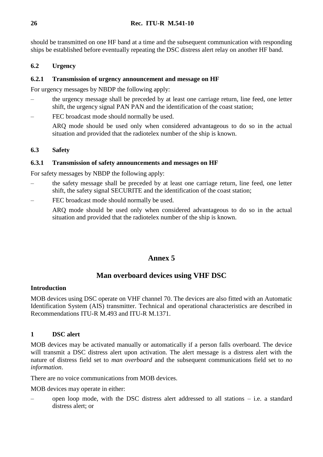should be transmitted on one HF band at a time and the subsequent communication with responding ships be established before eventually repeating the DSC distress alert relay on another HF band.

# **6.2 Urgency**

## **6.2.1 Transmission of urgency announcement and message on HF**

For urgency messages by NBDP the following apply:

- the urgency message shall be preceded by at least one carriage return, line feed, one letter shift, the urgency signal PAN PAN and the identification of the coast station;
- FEC broadcast mode should normally be used.

ARQ mode should be used only when considered advantageous to do so in the actual situation and provided that the radiotelex number of the ship is known.

## **6.3 Safety**

## **6.3.1 Transmission of safety announcements and messages on HF**

For safety messages by NBDP the following apply:

- the safety message shall be preceded by at least one carriage return, line feed, one letter shift, the safety signal SECURITE and the identification of the coast station;
- FEC broadcast mode should normally be used.

ARQ mode should be used only when considered advantageous to do so in the actual situation and provided that the radiotelex number of the ship is known.

# **Annex 5**

# **Man overboard devices using VHF DSC**

## **Introduction**

MOB devices using DSC operate on VHF channel 70. The devices are also fitted with an Automatic Identification System (AIS) transmitter. Technical and operational characteristics are described in Recommendations ITU-R M.493 and ITU-R M.1371.

# **1 DSC alert**

MOB devices may be activated manually or automatically if a person falls overboard. The device will transmit a DSC distress alert upon activation. The alert message is a distress alert with the nature of distress field set to *man overboard* and the subsequent communications field set to *no information*.

There are no voice communications from MOB devices.

MOB devices may operate in either:

– open loop mode, with the DSC distress alert addressed to all stations – i.e. a standard distress alert; or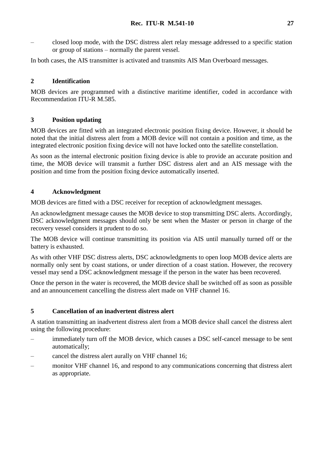– closed loop mode, with the DSC distress alert relay message addressed to a specific station or group of stations – normally the parent vessel.

In both cases, the AIS transmitter is activated and transmits AIS Man Overboard messages.

#### **2 Identification**

MOB devices are programmed with a distinctive maritime identifier, coded in accordance with Recommendation ITU-R M.585.

#### **3 Position updating**

MOB devices are fitted with an integrated electronic position fixing device. However, it should be noted that the initial distress alert from a MOB device will not contain a position and time, as the integrated electronic position fixing device will not have locked onto the satellite constellation.

As soon as the internal electronic position fixing device is able to provide an accurate position and time, the MOB device will transmit a further DSC distress alert and an AIS message with the position and time from the position fixing device automatically inserted.

#### **4 Acknowledgment**

MOB devices are fitted with a DSC receiver for reception of acknowledgment messages.

An acknowledgment message causes the MOB device to stop transmitting DSC alerts. Accordingly, DSC acknowledgment messages should only be sent when the Master or person in charge of the recovery vessel considers it prudent to do so.

The MOB device will continue transmitting its position via AIS until manually turned off or the battery is exhausted.

As with other VHF DSC distress alerts, DSC acknowledgments to open loop MOB device alerts are normally only sent by coast stations, or under direction of a coast station. However, the recovery vessel may send a DSC acknowledgment message if the person in the water has been recovered.

Once the person in the water is recovered, the MOB device shall be switched off as soon as possible and an announcement cancelling the distress alert made on VHF channel 16.

## **5 Cancellation of an inadvertent distress alert**

A station transmitting an inadvertent distress alert from a MOB device shall cancel the distress alert using the following procedure:

- immediately turn off the MOB device, which causes a DSC self-cancel message to be sent automatically;
- cancel the distress alert aurally on VHF channel 16;
- monitor VHF channel 16, and respond to any communications concerning that distress alert as appropriate.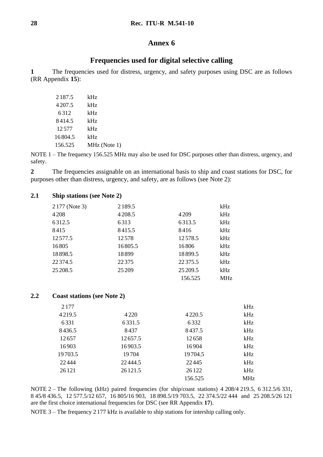## **Annex 6**

## **Frequencies used for digital selective calling**

 The frequencies used for distress, urgency, and safety purposes using DSC are as follows (RR Appendix **15**):

| 2187.5    | kHz          |
|-----------|--------------|
| 4 2 0 7.5 | kHz          |
| 6312      | kHz          |
| 8414.5    | kHz          |
| 12577     | kHz          |
| 16804.5   | kHz          |
| 156.525   | MHz (Note 1) |
|           |              |

NOTE 1 – The frequency 156.525 MHz may also be used for DSC purposes other than distress, urgency, and safety.

 The frequencies assignable on an international basis to ship and coast stations for DSC, for purposes other than distress, urgency, and safety, are as follows (see Note 2):

#### **2.1 Ship stations (see Note 2)**

| 2177 (Note 3) | 2 1 8 9 .5 |          | kHz        |
|---------------|------------|----------|------------|
| 4208          | 4 2 0 8 .5 | 4209     | kHz        |
| 6312.5        | 6313       | 6313.5   | kHz        |
| 8415          | 8415.5     | 8416     | kHz        |
| 12577.5       | 12578      | 12578.5  | kHz        |
| 16805         | 16805.5    | 16806    | kHz        |
| 18898.5       | 18899      | 18899.5  | kHz        |
| 22374.5       | 22375      | 22375.5  | kHz        |
| 25 208.5      | 25 209     | 25 209.5 | kHz        |
|               |            | 156.525  | <b>MHz</b> |

#### **2.2 Coast stations (see Note 2)**

| 2 1 7 7 |             |           | kHz        |
|---------|-------------|-----------|------------|
| 4219.5  | 4 2 2 0     | 4 2 2 0.5 | kHz        |
| 6331    | 6331.5      | 6332      | kHz        |
| 8436.5  | 8437        | 8437.5    | kHz        |
| 12657   | 12657.5     | 12658     | kHz        |
| 16903   | 16903.5     | 16904     | kHz        |
| 19703.5 | 19704       | 19704.5   | kHz        |
| 22444   | 22444.5     | 22445     | kHz        |
| 26 1 21 | 26 1 2 1 .5 | 26122     | kHz        |
|         |             | 156.525   | <b>MHz</b> |

NOTE 2 – The following (kHz) paired frequencies (for ship/coast stations) 4 208/4 219.5, 6 312.5/6 331, 45/8 436.5, 12 577.5/12 657, 16 805/16 903, 18 898.5/19 703.5, 22 374.5/22 444 and 25 208.5/26 121 are the first choice international frequencies for DSC (see RR Appendix **17**).

NOTE 3 – The frequency 2 177 kHz is available to ship stations for intership calling only.